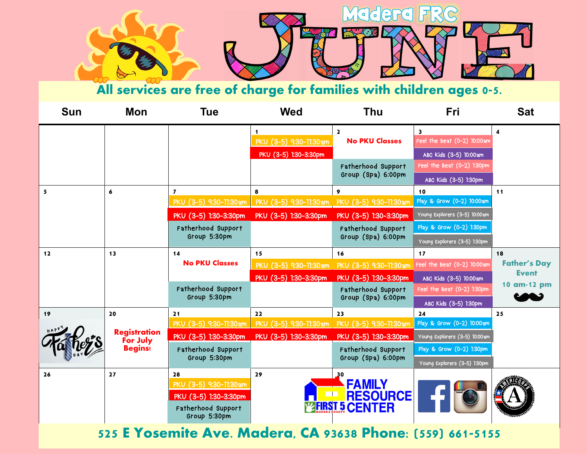

**All services are free of charge for families with children ages 0-5.** 

| <b>Sun</b> | Mon                                               | <b>Tue</b>                                                                                  | <b>Wed</b>                                                             | <b>Thu</b>                                                      | Fri                                                                              | <b>Sat</b>          |  |
|------------|---------------------------------------------------|---------------------------------------------------------------------------------------------|------------------------------------------------------------------------|-----------------------------------------------------------------|----------------------------------------------------------------------------------|---------------------|--|
|            |                                                   |                                                                                             | 1<br>PKU (3-5) 9:30-11:30am<br>PKU (3-5) 1:30-3:30pm                   | $\mathbf{2}$<br><b>No PKU Classes</b>                           | $\overline{\mathbf{3}}$<br>Feel the Beat (0-2) 10:00am<br>ABC Kids (3-5) 10:00am | 4                   |  |
|            |                                                   |                                                                                             |                                                                        | Fatherhood Support<br>Group (Spa) 6:00pm                        | Feel the Beat (0-2) 1:30pm<br>ABC Kids (3-5) 1:30pm                              |                     |  |
| 5          | 6                                                 | $\overline{ }$                                                                              | 8                                                                      | 9                                                               | 10                                                                               | 11                  |  |
|            |                                                   | PKU (3-5) 9:30-11:30am                                                                      | PKU (3-5) 9:30-11:30am PKU (3-5) 9:30-11:30am                          |                                                                 | Play & Grow (0-2) 10:00am                                                        |                     |  |
|            |                                                   | PKU (3-5) 1:30-3:30pm                                                                       | PKU (3-5) 1:30-3:30pm                                                  | PKU (3-5) 1:30-3:30pm                                           | Young Explorers (3-5) 10:00am                                                    |                     |  |
|            |                                                   | Fatherhood Support                                                                          |                                                                        | Fatherhood Support                                              | Play & Grow (0-2) 1:30pm                                                         |                     |  |
|            |                                                   | Group 5:30pm                                                                                |                                                                        | Group (Spa) 6:00pm                                              | Young Explorers (3-5) 1:30pm                                                     |                     |  |
| 12         | 13                                                | 14<br><b>No PKU Classes</b>                                                                 | 15                                                                     | 16                                                              | 17                                                                               | 18                  |  |
|            |                                                   |                                                                                             | PKU (3-5) 9:30-11:30am                                                 | PKU (3-5) 9:30-11:30am Feel the Beat (0-2) 10:00am              |                                                                                  | <b>Father's Day</b> |  |
|            |                                                   |                                                                                             | PKU (3-5) 1:30-3:30pm                                                  | PKU (3-5) 1:30-3:30pm                                           | ABC Kids (3-5) 10:00am                                                           | <b>Event</b>        |  |
|            |                                                   | Fatherhood Support                                                                          |                                                                        | Fatherhood Support                                              | Feel the Beat (0-2) 1:30pm                                                       | 10 am-12 pm         |  |
|            |                                                   | Group 5:30pm                                                                                |                                                                        | Group (Spa) 6:00pm                                              | ABC Kids (3-5) 1:30pm                                                            |                     |  |
| 19         | 20                                                | 21                                                                                          | 22                                                                     | 23                                                              | 24                                                                               | 25                  |  |
|            | <b>Registration</b><br>For July<br><b>Begins!</b> |                                                                                             | PKU (3-5) 9:30-11:30am   PKU (3-5) 9:30-11:30am PKU (3-5) 9:30-11:30am |                                                                 | Play & Grow (0-2) 10:00am                                                        |                     |  |
|            |                                                   | PKU (3-5) 1:30-3:30pm                                                                       | PKU (3-5) 1:30-3:30pm                                                  | PKU (3-5) 1:30-3:30pm                                           | Young Explorers (3-5) 10:00am                                                    |                     |  |
|            |                                                   | Fatherhood Support<br>Group 5:30pm                                                          |                                                                        | Fatherhood Support<br>Group (Spa) 6:00pm                        | Play & Grow (0-2) 1:30pm                                                         |                     |  |
|            |                                                   |                                                                                             |                                                                        |                                                                 | Young Explorers (3-5) 1:30pm                                                     |                     |  |
| 26         | 27                                                | 28<br>PKU (3-5) 9:30-11:30am<br>PKU (3-5) 1:30-3:30pm<br>Fatherhood Support<br>Group 5:30pm | 29                                                                     | 30<br><b>FAMILY</b><br><b>RESOURCE</b><br><b>MERST 5 CENTER</b> |                                                                                  |                     |  |

**525 E Yosemite Ave. Madera, CA 93638 Phone: (559) 661-5155**